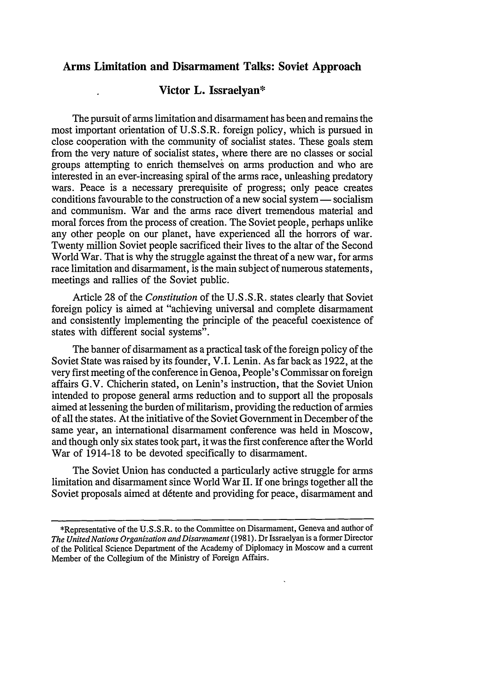## **Arms Limitation and Disarmament Talks: Soviet Approach**

## **Victor L. Issraelyan\***

The pursuit of arms limitation and disarmament has been and remains the most important orientation of U.S.S.R. foreign policy, which is pursued in close cooperation with the community of socialist states. These goals stem from the very nature of socialist states, where there are no classes or social groups attempting to enrich themselves on arms production and who are interested in an ever-increasing spiral of the arms race, unleashing predatory wars. Peace is a necessary prerequisite of progress; only peace creates conditions favourable to the construction of a new social system  $-$  socialism and communism. War and the arms race divert tremendous material and moral forces from the process of creation. The Soviet people, perhaps unlike any other people on our planet, have experienced all the horrors of war. Twenty million Soviet people sacrificed their lives to the altar of the Second World War. That is why the struggle against the threat of a new war, for arms race limitation and disarmament, is the main subject of numerous statements, meetings and rallies of the Soviet public.

Article 28 of the *Constitution* of the U.S.S.R. states clearly that Soviet foreign policy is aimed at "achieving universal and complete disarmament and consistently implementing the principle of the peaceful coexistence of states with different social systems".

The banner of disarmament as a practical task of the foreign policy of the Soviet State was raised by its founder, V.I. Lenin. As far back as 1922, at the very first meeting of the conference in Genoa, People's Commissar on foreign affairs G.V. Chicherin stated, on Lenin's instruction, that the Soviet Union intended to propose general arms reduction and to support all the proposals aimed at lessening the burden of militarism, providing the reduction of armies of all the states. At the initiative of the Soviet Government in December of the same year, an international disarmament conference was held in Moscow, and though only six states took part, it was the first conference after the World War of 1914-18 to be devoted specifically to disarmament.

The Soviet Union has conducted a particularly active struggle for arms limitation and disarmament since World War H. If one brings together all the Soviet proposals aimed at detente and providing for peace, disarmament and

<sup>\*</sup>Representative of the U.S.S.R. to the Committee on Disarmament, Geneva and author of *The United Nations Organization and Disarmament* (1981). Dr Issraelyan is a former Director of the Political Science Department of the Academy of Diplomacy in Moscow and a current Member of the Collegium of the Ministry of Foreign Affairs.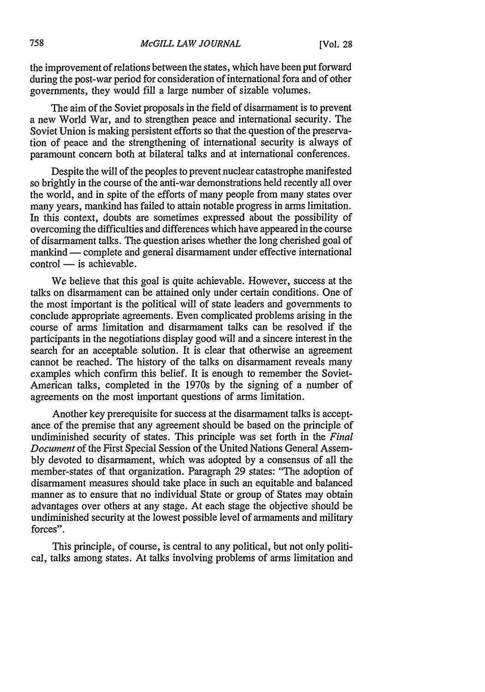the improvement of relations between the states, which have been put forward during the post-war period for consideration of international fora and of other governments, they would fill a large number of sizable volumes.

The aim of the Soviet proposals in the field of disarmament is to prevent a new World War, and to strengthen peace and international security. The Soviet Union is making persistent efforts so that the question of the preservation of peace and the strengthening of international security is always of paramount concern both at bilateral talks and at international conferences.

Despite the will of the peoples to prevent nuclear catastrophe manifested so brightly in the course of the anti-war demonstrations held recently all over the world, and in spite of the efforts of many people from many states over many years, mankind has failed to attain notable progress in arms limitation. In this context, doubts are sometimes expressed about the possibility of overcoming the difficulties and differences which have appeared in the course of disarmament talks. The question arises whether the long cherished goal of mankind - complete and general disarmament under effective international  $control$  - is achievable.

We believe that this goal is quite achievable. However, success at the talks on disarmament can be attained only under certain conditions. One of the most important is the political will of state leaders and governments to conclude appropriate agreements. Even complicated problems arising in the course of arms limitation and disarmament talks can be resolved if the participants in the negotiations display good will and a sincere interest in the search for an acceptable solution. It is clear that otherwise an agreement cannot be reached. The history of the talks on disarmament reveals many examples which confirm this belief. It is enough to remember the Soviet-American talks, completed in the 1970s by the signing of a number of agreements on the most important questions of arms limitation.

Another key prerequisite for success at the disarmament talks is acceptance of the premise that any agreement should be based on the principle of undiminished security of states. This principle was set forth in the *Final Document* of the First Special Session of the United Nations General Assembly devoted to disarmament, which was adopted by a consensus of all the member-states of that organization. Paragraph 29 states: "The adoption of disarmament measures should take place in such an equitable and balanced manner as to ensure that no individual State or group of States may obtain advantages over others at any stage. At each stage the objective should be undiminished security at the lowest possible level of armaments and military forces".

This principle, of course, is central to any political, but not only political, talks among states. At talks involving problems of arms limitation and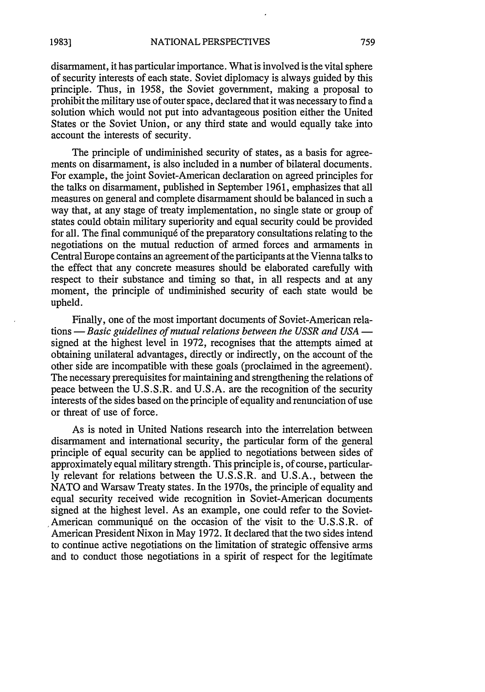disarmament, it has particular importance. What is involved is the vital sphere of security interests of each state. Soviet diplomacy is always guided by this principle. Thus, in 1958, the Soviet government, making a proposal to prohibit the military use of outer space, declared that it was necessary to find a solution which would not put into advantageous position either the United States or the Soviet Union, or any third state and would equally take into account the interests of security.

The principle of undiminished security of states, as a basis for agreements on disarmament, is also included in a number of bilateral documents. For example, the joint Soviet-American declaration on agreed principles for the talks on disarmament, published in September 1961, emphasizes that all measures on general and complete disarmament should be balanced in such a way that, at any stage of treaty implementation, no single state or group of states could obtain military superiority and equal security could be provided for all. The final communiqué of the preparatory consultations relating to the negotiations on the mutual reduction of armed forces and armaments in Central Europe contains an agreement of the participants at the Vienna talks to the effect that any concrete measures should be elaborated carefully with respect to their substance and timing so that, in all respects and at any moment, the principle of undiminished security of each state would be upheld.

Finally, one of the most important documents of Soviet-American relations - *Basic guidelines of mutual relations between the USSR and USA*  signed at the highest level in 1972, recognises that the attempts aimed at obtaining unilateral advantages, directly or indirectly, on the account of the other side are incompatible with these goals (proclaimed in the agreement). The necessary prerequisites for maintaining and strengthening the relations of peace between the U.S.S.R. and U.S.A. are the recognition of the security interests of the sides based on the principle of equality and renunciation of use or threat of use of force.

As is noted in United Nations research into the interrelation between disarmament and international security, the particular form of the general principle of equal security can be applied to negotiations between sides of approximately equal military strength. This principle is, of course, particularly relevant for relations between the U.S.S.R. and U.S.A., between the NATO and Warsaw Treaty states. In the 1970s, the principle of equality and equal security received wide recognition in Soviet-American documents signed at the highest level. As an example, one could refer to the Soviet- American communiqué on the occasion of the visit to the U.S.S.R. of American President Nixon in May 1972. It declared that the two sides intend to continue active negotiations on the limitation of strategic offensive arms and to conduct those negotiations in a spirit of respect for the legitimate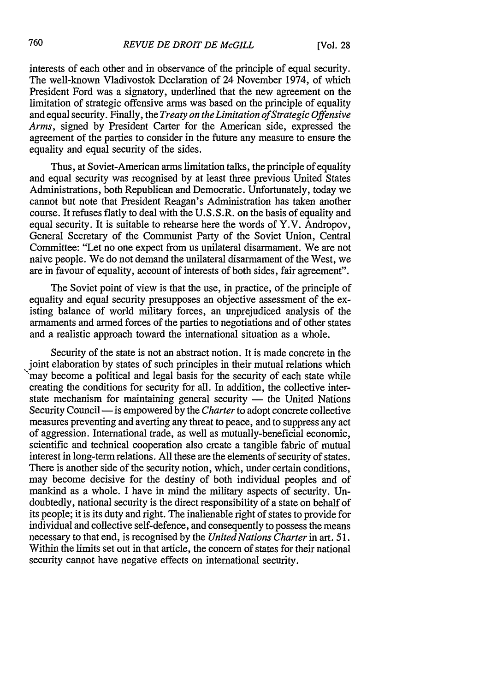interests of each other and in observance of the principle of equal security. The well-known Vladivostok Declaration of 24 November 1974, of which President Ford was a signatory, underlined that the new agreement on the limitation of strategic offensive arms was based on the principle of equality and equal security. Finally, the *Treaty on the Limitation of Strategic Offensive Arms,* signed by President Carter for the American side, expressed the agreement of the parties to consider in the future any measure to ensure the equality and equal security of the sides.

Thus, at Soviet-American arms limitation talks, the principle of equality and equal security was recognised by at least three previous United States Administrations, both Republican and Democratic. Unfortunately, today we cannot but note that President Reagan's Administration has taken another course. It refuses flatly to deal with the U.S.S.R. on the basis of equality and equal security. It is suitable to rehearse here the words of Y.V. Andropov, General Secretary of the Communist Party of the Soviet Union, Central Committee: "Let no one expect from us unilateral disarmament. We are not naive people. We do not demand the unilateral disarmament of the West, we are in favour of equality, account of interests of both sides, fair agreement".

The Soviet point of view is that the use, in practice, of the principle of equality and equal security presupposes an objective assessment of the existing balance of world military forces, an unprejudiced analysis of the armaments and armed forces of the parties to negotiations and of other states and a realistic approach toward the international situation as a whole.

Security of the state is not an abstract notion. It is made concrete in the joint elaboration by states of such principles in their mutual relations which may become a political and legal basis for the security of each state while creating the conditions for security for all. In addition, the collective interstate mechanism for maintaining general security — the United Nations Security Council — is empowered by the *Charter* to adopt concrete collective measures preventing and averting any threat to peace, and to suppress any act of aggression. International trade, as well as mutually-beneficial economic, scientific and technical cooperation also create a tangible fabric of mutual interest in long-term relations. All these are the elements of security of states. There is another side of the security notion, which, under certain conditions, may become decisive for the destiny of both individual peoples and of mankind as a whole. I have in mind the military aspects of security. Undoubtedly, national security is the direct responsibility of a state on behalf of its people; it is its duty and right. The inalienable right of states to provide for individual and collective self-defence, and consequently to possess the means necessary to that end, is recognised by the *United Nations Charter* in art. *51.* Within the limits set out in that article, the concern of states for their national security cannot have negative effects on international security.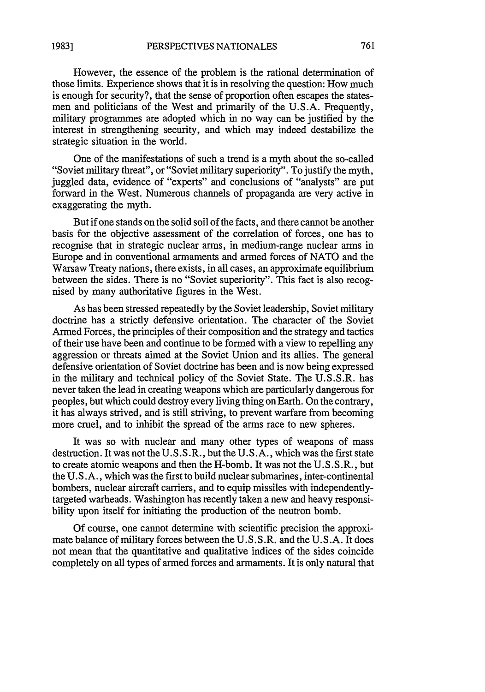However, the essence of the problem is the rational determination of those limits. Experience shows that it is in resolving the question: How much is enough for security?, that the sense of proportion often escapes the statesmen and politicians of the West and primarily of the U.S.A. Frequently, military programmes are adopted which in no way can be justified by the interest in strengthening security, and which may indeed destabilize the strategic situation in the world.

One of the manifestations of such a trend is a myth about the so-called "Soviet military threat", or "Soviet military superiority". To justify the myth, juggled data, evidence of "experts" and conclusions of "analysts" are put forward in the West. Numerous channels of propaganda are very active in exaggerating the myth.

But if one stands on the solid soil of the facts, and there cannot be another basis for the objective assessment of the correlation of forces, one has to recognise that in strategic nuclear arms, in medium-range nuclear arms in Europe and in conventional armaments and armed forces of NATO and the Warsaw Treaty nations, there exists, in all cases, an approximate equilibrium between the sides. There is no "Soviet superiority". This fact is also recognised by many authoritative figures in the West.

As has been stressed repeatedly by the Soviet leadership, Soviet military doctrine has a strictly defensive orientation. The character of the Soviet Armed Forces, the principles of their composition and the strategy and tactics of their use have been and continue to be formed with a view to repelling any aggression or threats aimed at the Soviet Union and its allies. The general defensive orientation of Soviet doctrine has been and is now being expressed in the military and technical policy of the Soviet State. The U.S.S.R. has never taken the lead in creating weapons which are particularly dangerous for peoples, but which could destroy every living thing on Earth. On the contrary, it has always strived, and is still striving, to prevent warfare from becoming more cruel, and to inhibit the spread of the arms race to new spheres.

It was so with nuclear and many other types of weapons of mass destruction. It was not the U.S.S.R., but the U.S.A., which was the first state to create atomic weapons and then the H-bomb. It was not the U.S.S.R., but the U.S.A., which was the first to build nuclear submarines, inter-continental bombers, nuclear aircraft carriers, and to equip missiles with independentlytargeted warheads. Washington has recently taken a new and heavy responsibility upon itself for initiating the production of the neutron bomb.

Of course, one cannot determine with scientific precision the approximate balance of military forces between the U.S.S.R. and the U.S.A. It does not mean that the quantitative and qualitative indices of the sides coincide completely on all types of armed forces and armaments. It is only natural that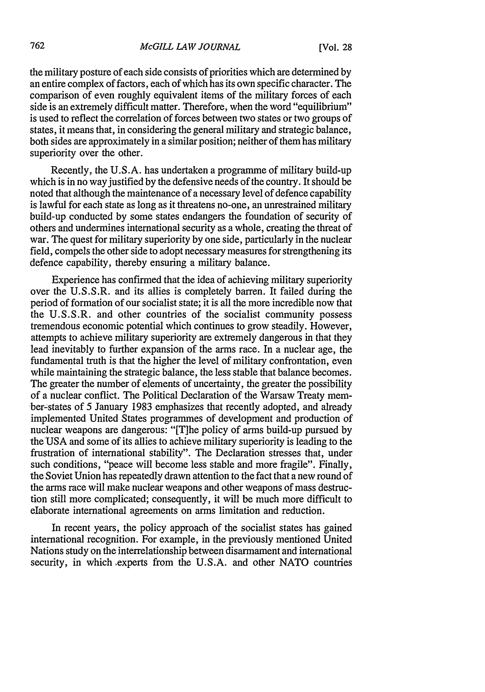the military posture of each side consists of priorities which are determined by an entire complex of factors, each of which has its own specific character. The comparison of even roughly equivalent items of the military forces of each side is an extremely difficult matter. Therefore, when the word "equilibrium" is used to reflect the correlation of forces between two states or two groups of states, it means that, in considering the general military and strategic balance, both sides are approximately in a similar position; neither of them has military superiority over the other.

Recently, the U.S.A. has undertaken a programme of military build-up which is in no way justified by the defensive needs of the country. It should be noted that although the maintenance of a necessary level of defence capability is lawful for each state as long as it threatens no-one, an unrestrained military build-up conducted by some states endangers the foundation of security of others and undermines international security as a whole, creating the threat of war. The quest for military superiority by one side, particularly in the nuclear field, compels the other side to adopt necessary measures for strengthening its defence capability, thereby ensuring a military balance.

Experience has confirmed that the idea of achieving military superiority over the U.S.S.R. and its allies is completely barren. It failed during the period of formation of our socialist state; it is all the more incredible now that the U.S.S.R. and other countries of the socialist community possess tremendous economic potential which continues to grow steadily. However, attempts to achieve military superiority are extremely dangerous in that they lead inevitably to further expansion of the arms race. In a nuclear age, the fundamental truth is that the higher the level of military confrontation, even while maintaining the strategic balance, the less stable that balance becomes. The greater the number of elements of uncertainty, the greater the possibility of a nuclear conflict. The Political Declaration of the Warsaw Treaty member-states of 5 January 1983 emphasizes that recently adopted, and already implemented United States programmes of development and production of nuclear weapons are dangerous: "[T]he policy of arms build-up pursued by the **USA** and some of its allies to achieve military superiority is leading to the frustration of international stability". The Declaration stresses that, under such conditions, "peace will become less stable and more fragile". Finally, the Soviet Union has repeatedly drawn attention to the fact that a new round of the arms race will make nuclear weapons and other weapons of mass destruction still more complicated; consequently, it will be much more difficult to elaborate international agreements on arms limitation and reduction.

In recent years, the policy approach of the socialist states has gained international recognition. For example, in the previously mentioned United Nations study on the interrelationship between disarmament and international security, in which experts from the U.S.A. and other NATO countries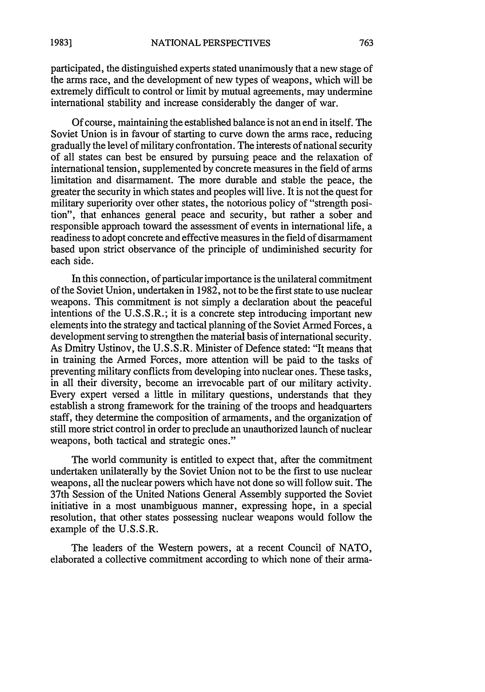participated, the distinguished experts stated unanimously that a new stage of the arms race, and the development of new types of weapons, which will be extremely difficult to control or limit by mutual agreements, may undermine international stability and increase considerably the danger of war.

Of course, maintaining the established balance is not an end in itself. The Soviet Union is in favour of starting to curve down the arms race, reducing gradually the level of military confrontation. The interests of national security of all states can best be ensured by pursuing peace and the relaxation of international tension, supplemented by concrete measures in the field of arms limitation and disarmament. The more durable and stable the peace, the greater the security in which states and peoples will live. It is not the quest for military superiority over other states, the notorious policy of "strength position", that enhances general peace and security, but rather a sober and responsible approach toward the assessment of events in international life, a readiness to adopt concrete and effective measures in the field of disarmament based upon strict observance of the principle of undiminished security for each side.

In this connection, of particular importance is the unilateral commitment of the Soviet Union, undertaken in 1982, not to be the first state to use nuclear weapons. This commitment is not simply a declaration about the peaceful intentions of the U.S.S.R.; it is a concrete step introducing important new elements into the strategy and tactical planning of the Soviet Armed Forces, a development serving to strengthen the material basis of international security. As Dmitry Ustinov, the U.S.S.R. Minister of Defence stated: "It means that in training the Armed Forces, more attention will be paid to the tasks of preventing military conflicts from developing into nuclear ones. These tasks, in all their diversity, become an irrevocable part of our military activity. Every expert versed a little in military questions, understands that they establish a strong framework for the training of the troops and headquarters staff, they determine the composition of armaments, and the organization of still more strict control in order to preclude an unauthorized launch of nuclear weapons, both tactical and strategic ones."

The world community is entitled to expect that, after the commitment undertaken unilaterally by the Soviet Union not to be the first to use nuclear weapons, all the nuclear powers which have not done so will follow suit. The 37th Session of the United Nations General Assembly supported the Soviet initiative in a most unambiguous manner, expressing hope, in a special resolution, that other states possessing nuclear weapons would follow the example of the U.S.S.R.

The leaders of the Western powers, at a recent Council of NATO, elaborated a collective commitment according to which none of their arma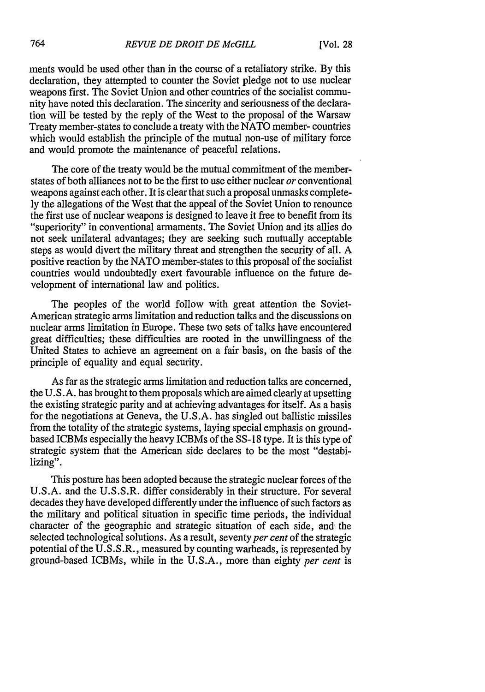ments would be used other than in the course of a retaliatory strike. By this declaration, they attempted to counter the Soviet pledge not to use nuclear weapons first. The Soviet Union and other countries of the socialist community have noted this declaration. The sincerity and seriousness of the declaration will be tested by the reply of the West to the proposal of the Warsaw Treaty member-states to conclude a treaty with the NATO member- countries which would establish the principle of the mutual non-use of military force and would promote the maintenance of peaceful relations.

The core of the treaty would be the mutual commitment of the memberstates of both alliances not to be the first to use either nuclear *or* conventional weapons against each other. It is clear that such a proposal unmasks completely the allegations of the West that the appeal of the Soviet Union to renounce the first use of nuclear weapons is designed to leave it free to benefit from its "4superiority" in conventional armaments. The Soviet Union and its allies do not seek unilateral advantages; they are seeking such mutually acceptable steps as would divert the military threat and strengthen the security of all. A positive reaction by the NATO member-states to this proposal of the socialist countries would undoubtedly exert favourable influence on the future development of international law and politics.

The peoples of the world follow with great attention the Soviet-American strategic arms limitation and reduction talks and the discussions on nuclear arms limitation in Europe. These two sets of talks have encountered great difficulties; these difficulties are rooted in the unwillingness of the United States to achieve an agreement on a fair basis, on the basis of the principle of equality and equal security.

As far as the strategic arms limitation and reduction talks are concerned, the U.S.A. has brought to them proposals which are aimed clearly at upsetting the existing strategic parity and at achieving advantages for itself. As a basis for the negotiations at Geneva, the U.S.A. has singled out ballistic missiles from the totality of the strategic systems, laying special emphasis on groundbased ICBMs especially the heavy ICBMs of the SS-18 type. It is this type of strategic system that the American side declares to be the most "destabilizing".

This posture has been adopted because the strategic nuclear forces of the U.S.A. and the U.S.S.R. differ considerably in their structure. For several decades they have developed differently under the influence of such factors as the military and political situation in specific time periods, the individual character of the geographic and strategic situation of each side, and the selected technological solutions. As a result, seventy *per cent* of the strategic potential of the U.S.S.R., measured by counting warheads, is represented by ground-based ICBMs, while in the U.S.A., more than eighty *per cent* is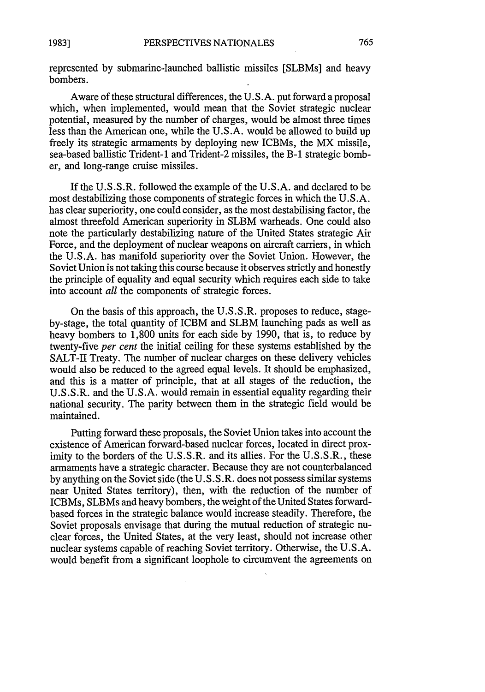represented by submarine-launched ballistic missiles [SLBMs] and heavy bombers.

Aware of these structural differences, the U.S.A. put forward a proposal which, when implemented, would mean that the Soviet strategic nuclear potential, measured by the number of charges, would be almost three times less than the American one, while the U.S.A. would be allowed to build up freely its strategic armaments by deploying new ICBMs, the MX missile, sea-based ballistic Trident-1 and Trident-2 missiles, the B-1 strategic bomber, and long-range cruise missiles.

If the U.S.S.R. followed the example of the U.S.A. and declared to be most destabilizing those components of strategic forces in which the U.S.A. has clear superiority, one could consider, as the most destabilising factor, the almost threefold American superiority in SLBM warheads. One could also note the particularly destabilizing nature of the United States strategic Air Force, and the deployment of nuclear weapons on aircraft carriers, in which the U.S.A. has manifold superiority over the Soviet Union. However, the Soviet Union is not taking this course because it observes strictly and honestly the principle of equality and equal security which requires each side to take into account *all* the components of strategic forces.

On the basis of this approach, the U.S.S.R. proposes to reduce, stageby-stage, the total quantity of ICBM and SLBM launching pads as well as heavy bombers to 1,800 units for each side by 1990, that is, to reduce by twenty-five *per cent* the initial ceiling for these systems established by the SALT-II Treaty. The number of nuclear charges on these delivery vehicles would also be reduced to the agreed equal levels. It should be emphasized, and this is a matter of principle, that at all stages of the reduction, the U.S.S.R. and the U.S.A. would remain in essential equality regarding their national security. The parity between them in the strategic field would be maintained.

Putting forward these proposals, the Soviet Union takes into account the existence of American forward-based nuclear forces, located in direct proximity to the borders of the U.S.S.R. and its allies. For the U.S.S.R., these armaments have a strategic character. Because they are not counterbalanced by anything on the Soviet side (the U.S.S.R. does not possess similar systems near United States territory), then, with the reduction of the number of ICBMs, SLBMs and heavy bombers, the weight of the United States forwardbased forces in the strategic balance would increase steadily. Therefore, the Soviet proposals envisage that during the mutual reduction of strategic nuclear forces, the United States, at the very least, should not increase other nuclear systems capable of reaching Soviet territory. Otherwise, the U.S.A. would benefit from a significant loophole to circumvent the agreements on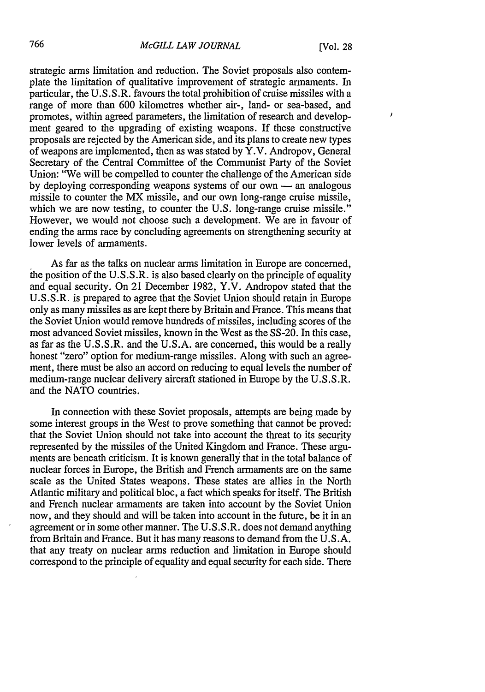I

strategic arms limitation and reduction. The Soviet proposals also contemplate the limitation of qualitative improvement of strategic armaments. In particular, the U.S.S.R. favours the total prohibition of cruise missiles with a range of more than 600 kilometres whether air-, land- or sea-based, and promotes, within agreed parameters, the limitation of research and development geared to the upgrading of existing weapons. If these constructive proposals are rejected by the American side, and its plans to create new types of weapons are implemented, then as was stated by Y.V. Andropov, General Secretary of the Central Committee of the Communist Party of the Soviet Union: "We will be compelled to counter the challenge of the American side by deploying corresponding weapons systems of our own - an analogous missile to counter the MX missile, and our own long-range cruise missile, which we are now testing, to counter the U.S. long-range cruise missile." However, we would not choose such a development. We are in favour of ending the arms race by concluding agreements on strengthening security at lower levels of armaments.

As far as the talks on nuclear arms limitation in Europe are concerned, the position of the U.S.S.R. is also based clearly on the principle of equality and equal security. On 21 December 1982, Y.V. Andropov stated that the U.S.S.R. is prepared to agree that the Soviet Union should retain in Europe only as many missiles as are kept there by Britain and France. This means that the Soviet Union would remove hundreds of missiles, including scores of the most advanced Soviet missiles, known in the West as the SS-20. In this case, as far as the U.S.S.R. and the U.S.A. are concerned, this would be a really honest "zero" option for medium-range missiles. Along with such an agreement, there must be also an accord on reducing to equal levels the number of medium-range nuclear delivery aircraft stationed in Europe by the U.S.S.R. and the NATO countries.

In connection with these Soviet proposals, attempts are being made by some interest groups in the West to prove something that cannot be proved: that the Soviet Union should not take into account the threat to its security represented by the missiles of the United Kingdom and France. These arguments are beneath criticism. It is known generally that in the total balance of nuclear forces in Europe, the British and French armaments are on the same scale as the United States weapons. These states are allies in the North Atlantic military and political bloc, a fact which speaks for itself. The British and French nuclear armaments are taken into account by the Soviet Union now, and they should and will be taken into account in the future, be it in an agreement or in some other manner. The U.S.S.R. does not demand anything from Britain and France. But it has many reasons to demand from the U.S.A. that any treaty on nuclear arms reduction and limitation in Europe should correspond to the principle of equality and equal security for each side. There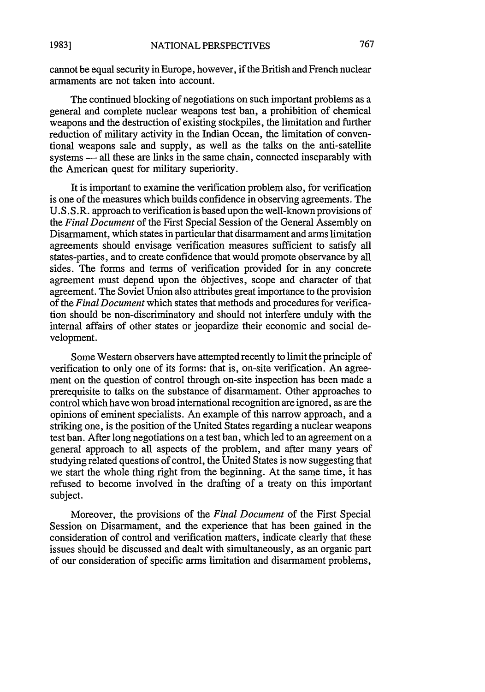cannot be equal security in Europe, however, if the British and French nuclear armaments are not taken into account.

The continued blocking of negotiations on such important problems as a general and complete nuclear weapons test ban, a prohibition of chemical weapons and the destruction of existing stockpiles, the limitation and further reduction of military activity in the Indian Ocean, the limitation of conventional weapons sale and supply, as well as the talks on the anti-satellite systems - all these are links in the same chain, connected inseparably with the American quest for military superiority.

It is important to examine the verification problem also, for verification is one of the measures which builds confidence in observing agreements. The U.S.S.R. approach to verification is based upon the well-known provisions of the *Final Document* of the First Special Session of the General Assembly on Disarmament, which states in particular that disarmament and arms limitation agreements should envisage verification measures sufficient to satisfy all states-parties, and to create confidence that would promote observance by all sides. The forms and terms of verification provided for in any concrete agreement must depend upon the 6bjectives, scope and character of that agreement. The Soviet Union also attributes great importance to the provision of the *Final Document* which states that methods and procedures for verification should be non-discriminatory and should not interfere unduly with the internal affairs of other states or jeopardize their economic and social development.

Some Western observers have attempted recently to limit the principle of verification to only one of its forms: that is, on-site verification. An agreement on the question of control through on-site inspection has been made a prerequisite to talks on the substance of disarmament. Other approaches to control which have won broad international recognition are ignored, as are the opinions of eminent specialists. An example of this narrow approach, and a striking one, is the position of the United States regarding a nuclear weapons test ban. After long negotiations on a test ban, which led to an agreement on a general approach to all aspects of the problem, and after many years of studying related questions of control, the United States is now suggesting that we start the whole thing right from the beginning. At the same time, it has refused to become involved in the drafting of a treaty on this important subject.

Moreover, the provisions of the *Final Document* of the First Special Session on Disarmament, and the experience that has been gained in the consideration of control and verification matters, indicate clearly that these issues should be discussed and dealt with simultaneously, as an organic part of our consideration of specific arms limitation and disarmament problems,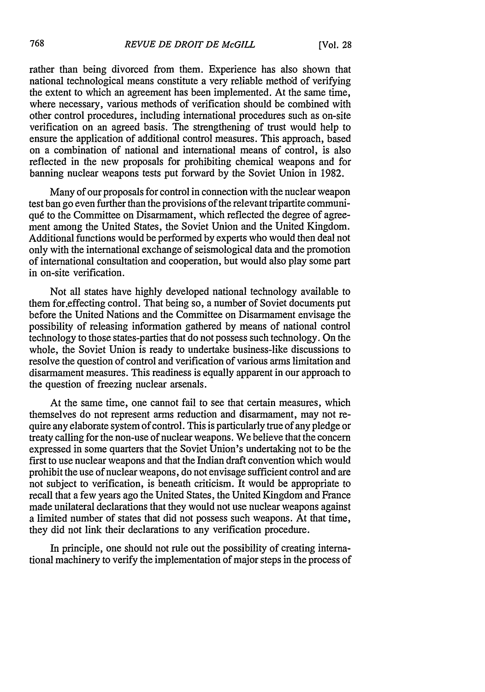rather than being divorced from them. Experience has also shown that national technological means constitute a very reliable method of verifying the extent to which an agreement has been implemented. At the same time, where necessary, various methods of verification should be combined with other control procedures, including international procedures such as on-site verification on an agreed basis. The strengthening of trust would help to ensure the application of additional control measures. This approach, based on a combination of national and international means of control, is also reflected in the new proposals for prohibiting chemical weapons and for banning nuclear weapons tests put forward by the Soviet Union in 1982.

Many of our proposals for control in connection with the nuclear weapon test ban go even further than the provisions of the relevant tripartite communiqu6 to the Committee on Disarmament, which reflected the degree of agreement among the United States, the Soviet Union and the United Kingdom. Additional functions would be performed by experts who would then deal not only with the international exchange of seismological data and the promotion of international consultation and cooperation, but would also play some part in on-site verification.

Not all states have highly developed national technology available to them for.effecting control. That being so, a number of Soviet documents put before the United Nations and the Committee on Disarmament envisage the possibility of releasing information gathered by means of national control technology to those states-parties that do not possess such technology. On the whole, the Soviet Union is ready to undertake business-like discussions to resolve the question of control and verification of various arms limitation and disarmament measures. This readiness is equally apparent in our approach to the question of freezing nuclear arsenals.

At the same time, one cannot fail to see that certain measures, which themselves do not represent arms reduction and disarmament, may not require any elaborate system of control. This is particularly true of any pledge or treaty calling for the non-use of nuclear weapons. We believe that the concern expressed in some quarters that the Soviet Union's undertaking not to be the first to use nuclear weapons and that the Indian draft convention which would prohibit the use of nuclear weapons, do not envisage sufficient control and are not subject to verification, is beneath criticism. It would be appropriate to recall that a few years ago the United States, the United Kingdom and France made unilateral declarations that they would not use nuclear weapons against a limited number of states that did not possess such weapons. At that time, they did not link their declarations to any verification procedure.

In principle, one should not rule out the possibility of creating international machinery to verify the implementation of major steps in the process of